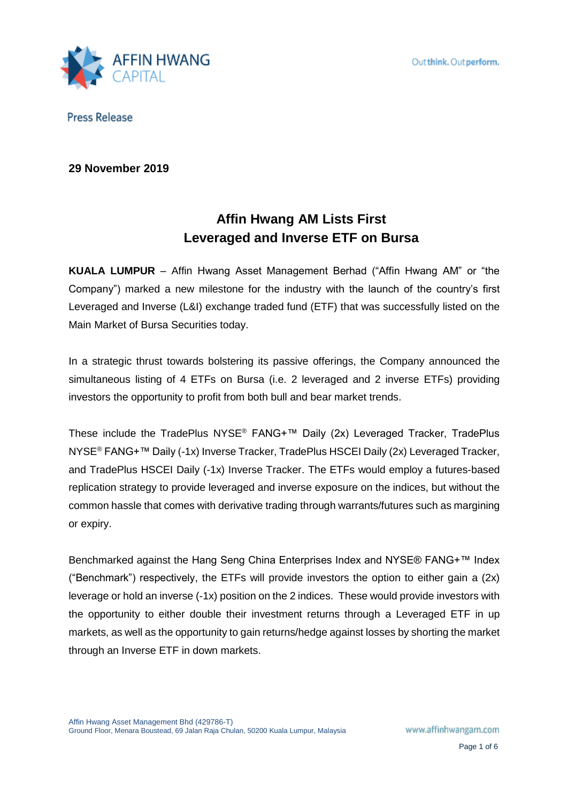

# **29 November 2019**

# **Affin Hwang AM Lists First Leveraged and Inverse ETF on Bursa**

**KUALA LUMPUR** – Affin Hwang Asset Management Berhad ("Affin Hwang AM" or "the Company") marked a new milestone for the industry with the launch of the country's first Leveraged and Inverse (L&I) exchange traded fund (ETF) that was successfully listed on the Main Market of Bursa Securities today.

In a strategic thrust towards bolstering its passive offerings, the Company announced the simultaneous listing of 4 ETFs on Bursa (i.e. 2 leveraged and 2 inverse ETFs) providing investors the opportunity to profit from both bull and bear market trends.

These include the TradePlus NYSE® FANG+™ Daily (2x) Leveraged Tracker, TradePlus NYSE<sup>®</sup> FANG+<sup>™</sup> Daily (-1x) Inverse Tracker, TradePlus HSCEI Daily (2x) Leveraged Tracker, and TradePlus HSCEI Daily (-1x) Inverse Tracker. The ETFs would employ a futures-based replication strategy to provide leveraged and inverse exposure on the indices, but without the common hassle that comes with derivative trading through warrants/futures such as margining or expiry.

Benchmarked against the Hang Seng China Enterprises Index and NYSE® FANG+™ Index ("Benchmark") respectively, the ETFs will provide investors the option to either gain a (2x) leverage or hold an inverse (-1x) position on the 2 indices. These would provide investors with the opportunity to either double their investment returns through a Leveraged ETF in up markets, as well as the opportunity to gain returns/hedge against losses by shorting the market through an Inverse ETF in down markets.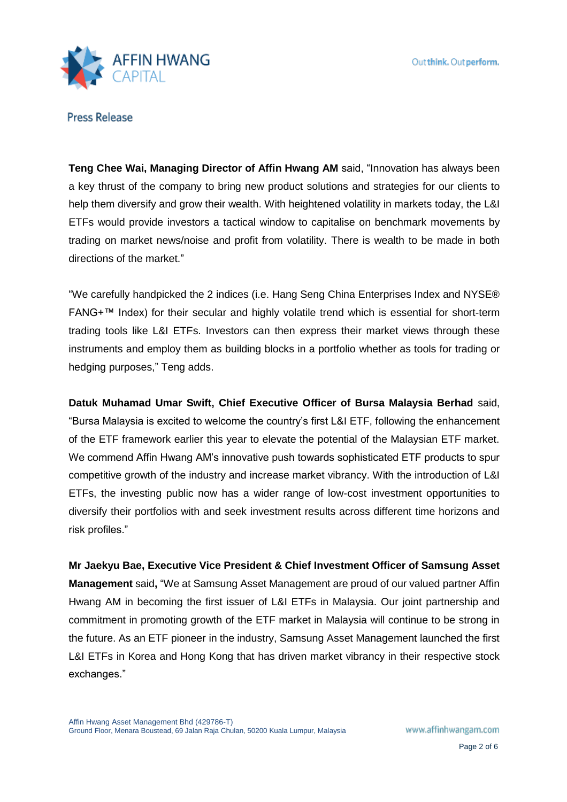

**Teng Chee Wai, Managing Director of Affin Hwang AM** said, "Innovation has always been a key thrust of the company to bring new product solutions and strategies for our clients to help them diversify and grow their wealth. With heightened volatility in markets today, the L&I ETFs would provide investors a tactical window to capitalise on benchmark movements by trading on market news/noise and profit from volatility. There is wealth to be made in both directions of the market."

"We carefully handpicked the 2 indices (i.e. Hang Seng China Enterprises Index and NYSE® FANG+™ Index) for their secular and highly volatile trend which is essential for short-term trading tools like L&I ETFs. Investors can then express their market views through these instruments and employ them as building blocks in a portfolio whether as tools for trading or hedging purposes," Teng adds.

**Datuk Muhamad Umar Swift, Chief Executive Officer of Bursa Malaysia Berhad** said, "Bursa Malaysia is excited to welcome the country's first L&I ETF, following the enhancement of the ETF framework earlier this year to elevate the potential of the Malaysian ETF market. We commend Affin Hwang AM's innovative push towards sophisticated ETF products to spur competitive growth of the industry and increase market vibrancy. With the introduction of L&I ETFs, the investing public now has a wider range of low-cost investment opportunities to diversify their portfolios with and seek investment results across different time horizons and risk profiles."

**Mr Jaekyu Bae, Executive Vice President & Chief Investment Officer of Samsung Asset Management** said**,** "We at Samsung Asset Management are proud of our valued partner Affin Hwang AM in becoming the first issuer of L&I ETFs in Malaysia. Our joint partnership and commitment in promoting growth of the ETF market in Malaysia will continue to be strong in the future. As an ETF pioneer in the industry, Samsung Asset Management launched the first L&I ETFs in Korea and Hong Kong that has driven market vibrancy in their respective stock exchanges."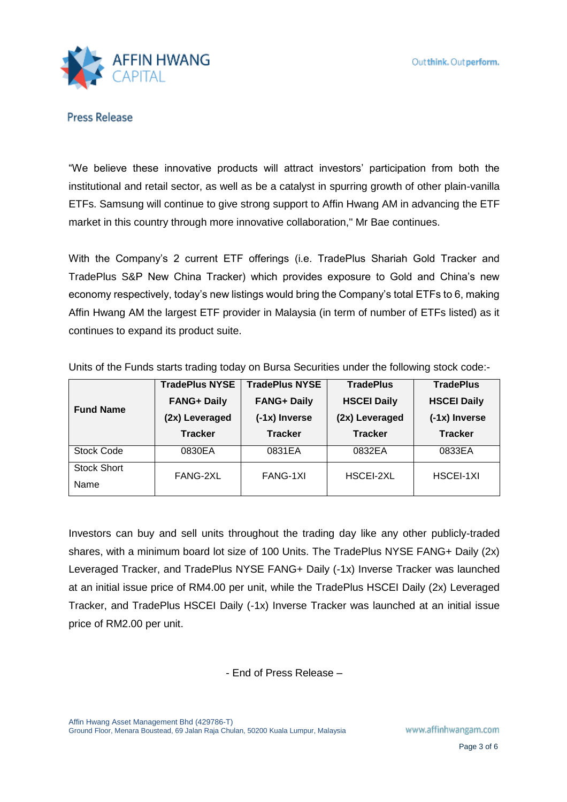

"We believe these innovative products will attract investors' participation from both the institutional and retail sector, as well as be a catalyst in spurring growth of other plain-vanilla ETFs. Samsung will continue to give strong support to Affin Hwang AM in advancing the ETF market in this country through more innovative collaboration," Mr Bae continues.

With the Company's 2 current ETF offerings (i.e. TradePlus Shariah Gold Tracker and TradePlus S&P New China Tracker) which provides exposure to Gold and China's new economy respectively, today's new listings would bring the Company's total ETFs to 6, making Affin Hwang AM the largest ETF provider in Malaysia (in term of number of ETFs listed) as it continues to expand its product suite.

| <b>Fund Name</b>   | <b>TradePlus NYSE</b> | <b>TradePlus NYSE</b> | <b>TradePlus</b>   | <b>TradePlus</b>   |
|--------------------|-----------------------|-----------------------|--------------------|--------------------|
|                    | <b>FANG+ Daily</b>    | <b>FANG+ Daily</b>    | <b>HSCEI Daily</b> | <b>HSCEI Daily</b> |
|                    | (2x) Leveraged        | (-1x) Inverse         | (2x) Leveraged     | (-1x) Inverse      |
|                    | <b>Tracker</b>        | <b>Tracker</b>        | <b>Tracker</b>     | <b>Tracker</b>     |
| <b>Stock Code</b>  | 0830EA                | 0831EA                | 0832EA             | 0833EA             |
| <b>Stock Short</b> | FANG-2XL              | FANG-1XI              | HSCEI-2XL          | HSCEI-1XI          |
| Name               |                       |                       |                    |                    |

Units of the Funds starts trading today on Bursa Securities under the following stock code:-

Investors can buy and sell units throughout the trading day like any other publicly-traded shares, with a minimum board lot size of 100 Units. The TradePlus NYSE FANG+ Daily (2x) Leveraged Tracker, and TradePlus NYSE FANG+ Daily (-1x) Inverse Tracker was launched at an initial issue price of RM4.00 per unit, while the TradePlus HSCEI Daily (2x) Leveraged Tracker, and TradePlus HSCEI Daily (-1x) Inverse Tracker was launched at an initial issue price of RM2.00 per unit.

- End of Press Release –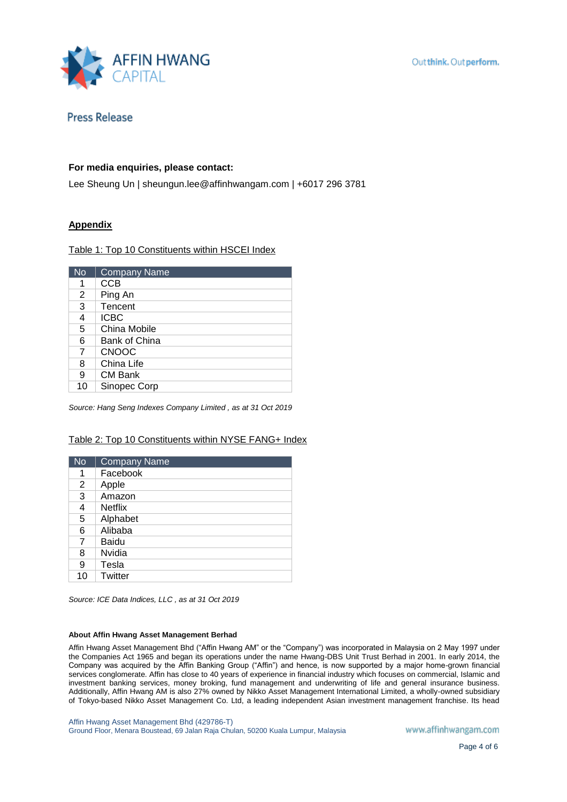

### **For media enquiries, please contact:**

Lee Sheung Un | sheungun.lee@affinhwangam.com | +6017 296 3781

## **Appendix**

Table 1: Top 10 Constituents within HSCEI Index

| <b>No</b> | <b>Company Name</b>  |
|-----------|----------------------|
| 1         | <b>CCB</b>           |
| 2         | Ping An              |
| 3         | Tencent              |
| 4         | <b>ICBC</b>          |
| 5         | China Mobile         |
| 6         | <b>Bank of China</b> |
| 7         | <b>CNOOC</b>         |
| 8         | China Life           |
| 9         | CM Bank              |
| 10        | Sinopec Corp         |

*Source: Hang Seng Indexes Company Limited , as at 31 Oct 2019* 

### Table 2: Top 10 Constituents within NYSE FANG+ Index

| <b>No</b> | <b>Company Name</b> |
|-----------|---------------------|
| 1         | Facebook            |
| 2         | Apple               |
| 3         | Amazon              |
| 4         | <b>Netflix</b>      |
| 5         | Alphabet            |
| 6         | Alibaba             |
| 7         | Baidu               |
| 8         | Nvidia              |
| 9         | Tesla               |
| 10        | Twitter             |

*Source: ICE Data Indices, LLC , as at 31 Oct 2019* 

### **About Affin Hwang Asset Management Berhad**

Affin Hwang Asset Management Bhd ("Affin Hwang AM" or the "Company") was incorporated in Malaysia on 2 May 1997 under the Companies Act 1965 and began its operations under the name Hwang-DBS Unit Trust Berhad in 2001. In early 2014, the Company was acquired by the Affin Banking Group ("Affin") and hence, is now supported by a major home-grown financial services conglomerate. Affin has close to 40 years of experience in financial industry which focuses on commercial, Islamic and investment banking services, money broking, fund management and underwriting of life and general insurance business. Additionally, Affin Hwang AM is also 27% owned by Nikko Asset Management International Limited, a wholly-owned subsidiary of Tokyo-based Nikko Asset Management Co. Ltd, a leading independent Asian investment management franchise. Its head

Affin Hwang Asset Management Bhd (429786-T) Ground Floor, Menara Boustead, 69 Jalan Raja Chulan, 50200 Kuala Lumpur, Malaysia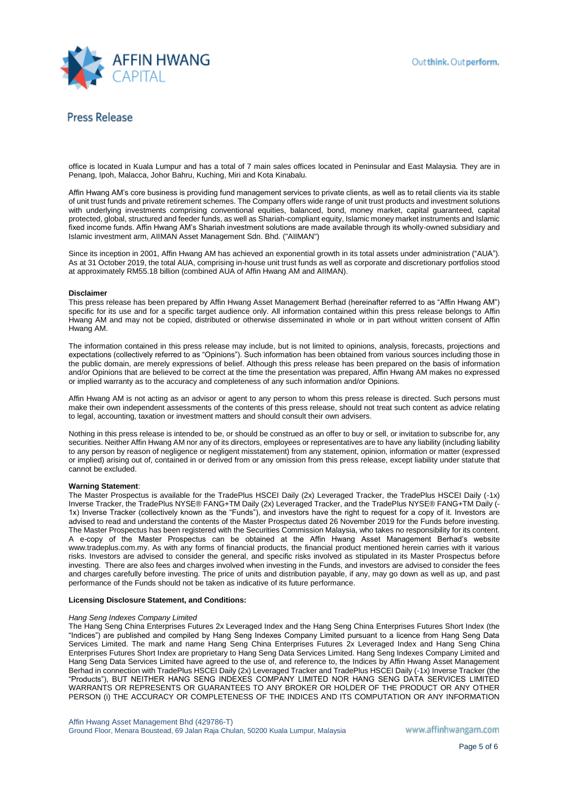

office is located in Kuala Lumpur and has a total of 7 main sales offices located in Peninsular and East Malaysia. They are in Penang, Ipoh, Malacca, Johor Bahru, Kuching, Miri and Kota Kinabalu.

Affin Hwang AM's core business is providing fund management services to private clients, as well as to retail clients via its stable of unit trust funds and private retirement schemes. The Company offers wide range of unit trust products and investment solutions with underlying investments comprising conventional equities, balanced, bond, money market, capital guaranteed, capital protected, global, structured and feeder funds, as well as Shariah-compliant equity, Islamic money market instruments and Islamic fixed income funds. Affin Hwang AM's Shariah investment solutions are made available through its wholly-owned subsidiary and Islamic investment arm, AIIMAN Asset Management Sdn. Bhd. ("AIIMAN")

Since its inception in 2001, Affin Hwang AM has achieved an exponential growth in its total assets under administration ("AUA"). As at 31 October 2019, the total AUA, comprising in-house unit trust funds as well as corporate and discretionary portfolios stood at approximately RM55.18 billion (combined AUA of Affin Hwang AM and AIIMAN).

### **Disclaimer**

This press release has been prepared by Affin Hwang Asset Management Berhad (hereinafter referred to as "Affin Hwang AM") specific for its use and for a specific target audience only. All information contained within this press release belongs to Affin Hwang AM and may not be copied, distributed or otherwise disseminated in whole or in part without written consent of Affin Hwang AM.

The information contained in this press release may include, but is not limited to opinions, analysis, forecasts, projections and expectations (collectively referred to as "Opinions"). Such information has been obtained from various sources including those in the public domain, are merely expressions of belief. Although this press release has been prepared on the basis of information and/or Opinions that are believed to be correct at the time the presentation was prepared, Affin Hwang AM makes no expressed or implied warranty as to the accuracy and completeness of any such information and/or Opinions.

Affin Hwang AM is not acting as an advisor or agent to any person to whom this press release is directed. Such persons must make their own independent assessments of the contents of this press release, should not treat such content as advice relating to legal, accounting, taxation or investment matters and should consult their own advisers.

Nothing in this press release is intended to be, or should be construed as an offer to buy or sell, or invitation to subscribe for, any securities. Neither Affin Hwang AM nor any of its directors, employees or representatives are to have any liability (including liability to any person by reason of negligence or negligent misstatement) from any statement, opinion, information or matter (expressed or implied) arising out of, contained in or derived from or any omission from this press release, except liability under statute that cannot be excluded.

### **Warning Statement**:

The Master Prospectus is available for the TradePlus HSCEI Daily (2x) Leveraged Tracker, the TradePlus HSCEI Daily (-1x) Inverse Tracker, the TradePlus NYSE® FANG+TM Daily (2x) Leveraged Tracker, and the TradePlus NYSE® FANG+TM Daily (- 1x) Inverse Tracker (collectively known as the "Funds"), and investors have the right to request for a copy of it. Investors are advised to read and understand the contents of the Master Prospectus dated 26 November 2019 for the Funds before investing. The Master Prospectus has been registered with the Securities Commission Malaysia, who takes no responsibility for its content. A e-copy of the Master Prospectus can be obtained at the Affin Hwang Asset Management Berhad's website www.tradeplus.com.my. As with any forms of financial products, the financial product mentioned herein carries with it various risks. Investors are advised to consider the general, and specific risks involved as stipulated in its Master Prospectus before investing. There are also fees and charges involved when investing in the Funds, and investors are advised to consider the fees and charges carefully before investing. The price of units and distribution payable, if any, may go down as well as up, and past performance of the Funds should not be taken as indicative of its future performance.

### **Licensing Disclosure Statement, and Conditions:**

### *Hang Seng Indexes Company Limited*

The Hang Seng China Enterprises Futures 2x Leveraged Index and the Hang Seng China Enterprises Futures Short Index (the "Indices") are published and compiled by Hang Seng Indexes Company Limited pursuant to a licence from Hang Seng Data Services Limited. The mark and name Hang Seng China Enterprises Futures 2x Leveraged Index and Hang Seng China Enterprises Futures Short Index are proprietary to Hang Seng Data Services Limited. Hang Seng Indexes Company Limited and Hang Seng Data Services Limited have agreed to the use of, and reference to, the Indices by Affin Hwang Asset Management Berhad in connection with TradePlus HSCEI Daily (2x) Leveraged Tracker and TradePlus HSCEI Daily (-1x) Inverse Tracker (the "Products"), BUT NEITHER HANG SENG INDEXES COMPANY LIMITED NOR HANG SENG DATA SERVICES LIMITED WARRANTS OR REPRESENTS OR GUARANTEES TO ANY BROKER OR HOLDER OF THE PRODUCT OR ANY OTHER PERSON (i) THE ACCURACY OR COMPLETENESS OF THE INDICES AND ITS COMPUTATION OR ANY INFORMATION

Affin Hwang Asset Management Bhd (429786-T) Ground Floor, Menara Boustead, 69 Jalan Raja Chulan, 50200 Kuala Lumpur, Malaysia